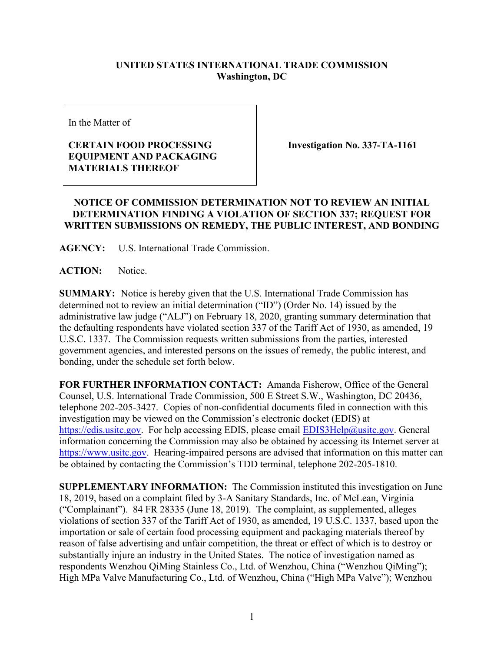## **UNITED STATES INTERNATIONAL TRADE COMMISSION Washington, DC**

In the Matter of

## **CERTAIN FOOD PROCESSING EQUIPMENT AND PACKAGING MATERIALS THEREOF**

**Investigation No. 337-TA-1161**

## **NOTICE OF COMMISSION DETERMINATION NOT TO REVIEW AN INITIAL DETERMINATION FINDING A VIOLATION OF SECTION 337; REQUEST FOR WRITTEN SUBMISSIONS ON REMEDY, THE PUBLIC INTEREST, AND BONDING**

**AGENCY:** U.S. International Trade Commission.

**ACTION:** Notice.

**SUMMARY:** Notice is hereby given that the U.S. International Trade Commission has determined not to review an initial determination ("ID") (Order No. 14) issued by the administrative law judge ("ALJ") on February 18, 2020, granting summary determination that the defaulting respondents have violated section 337 of the Tariff Act of 1930, as amended, 19 U.S.C. 1337. The Commission requests written submissions from the parties, interested government agencies, and interested persons on the issues of remedy, the public interest, and bonding, under the schedule set forth below.

**FOR FURTHER INFORMATION CONTACT:** Amanda Fisherow, Office of the General Counsel, U.S. International Trade Commission, 500 E Street S.W., Washington, DC 20436, telephone 202-205-3427. Copies of non-confidential documents filed in connection with this investigation may be viewed on the Commission's electronic docket (EDIS) at [https://edis.usitc.gov.](https://edis.usitc.gov/) For help accessing EDIS, please email **EDIS3Help@usitc.gov**. General information concerning the Commission may also be obtained by accessing its Internet server at [https://www.usitc.gov.](https://www.usitc.gov/) Hearing-impaired persons are advised that information on this matter can be obtained by contacting the Commission's TDD terminal, telephone 202-205-1810.

**SUPPLEMENTARY INFORMATION:** The Commission instituted this investigation on June 18, 2019, based on a complaint filed by 3-A Sanitary Standards, Inc. of McLean, Virginia ("Complainant"). 84 FR 28335 (June 18, 2019). The complaint, as supplemented, alleges violations of section 337 of the Tariff Act of 1930, as amended, 19 U.S.C. 1337, based upon the importation or sale of certain food processing equipment and packaging materials thereof by reason of false advertising and unfair competition, the threat or effect of which is to destroy or substantially injure an industry in the United States. The notice of investigation named as respondents Wenzhou QiMing Stainless Co., Ltd. of Wenzhou, China ("Wenzhou QiMing"); High MPa Valve Manufacturing Co., Ltd. of Wenzhou, China ("High MPa Valve"); Wenzhou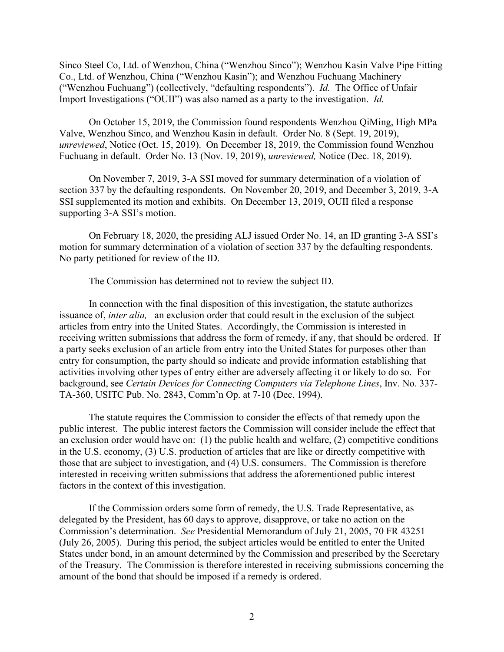Sinco Steel Co, Ltd. of Wenzhou, China ("Wenzhou Sinco"); Wenzhou Kasin Valve Pipe Fitting Co., Ltd. of Wenzhou, China ("Wenzhou Kasin"); and Wenzhou Fuchuang Machinery ("Wenzhou Fuchuang") (collectively, "defaulting respondents"). *Id.* The Office of Unfair Import Investigations ("OUII") was also named as a party to the investigation. *Id.*

On October 15, 2019, the Commission found respondents Wenzhou QiMing, High MPa Valve, Wenzhou Sinco, and Wenzhou Kasin in default. Order No. 8 (Sept. 19, 2019), *unreviewed*, Notice (Oct. 15, 2019). On December 18, 2019, the Commission found Wenzhou Fuchuang in default. Order No. 13 (Nov. 19, 2019), *unreviewed,* Notice (Dec. 18, 2019).

On November 7, 2019, 3-A SSI moved for summary determination of a violation of section 337 by the defaulting respondents. On November 20, 2019, and December 3, 2019, 3-A SSI supplemented its motion and exhibits. On December 13, 2019, OUII filed a response supporting 3-A SSI's motion.

On February 18, 2020, the presiding ALJ issued Order No. 14, an ID granting 3-A SSI's motion for summary determination of a violation of section 337 by the defaulting respondents. No party petitioned for review of the ID.

The Commission has determined not to review the subject ID.

In connection with the final disposition of this investigation, the statute authorizes issuance of, *inter alia,* an exclusion order that could result in the exclusion of the subject articles from entry into the United States. Accordingly, the Commission is interested in receiving written submissions that address the form of remedy, if any, that should be ordered. If a party seeks exclusion of an article from entry into the United States for purposes other than entry for consumption, the party should so indicate and provide information establishing that activities involving other types of entry either are adversely affecting it or likely to do so. For background, see *Certain Devices for Connecting Computers via Telephone Lines*, Inv. No. 337- TA-360, USITC Pub. No. 2843, Comm'n Op. at 7-10 (Dec. 1994).

The statute requires the Commission to consider the effects of that remedy upon the public interest. The public interest factors the Commission will consider include the effect that an exclusion order would have on: (1) the public health and welfare, (2) competitive conditions in the U.S. economy, (3) U.S. production of articles that are like or directly competitive with those that are subject to investigation, and (4) U.S. consumers. The Commission is therefore interested in receiving written submissions that address the aforementioned public interest factors in the context of this investigation.

If the Commission orders some form of remedy, the U.S. Trade Representative, as delegated by the President, has 60 days to approve, disapprove, or take no action on the Commission's determination. *See* Presidential Memorandum of July 21, 2005, 70 FR 43251 (July 26, 2005). During this period, the subject articles would be entitled to enter the United States under bond, in an amount determined by the Commission and prescribed by the Secretary of the Treasury. The Commission is therefore interested in receiving submissions concerning the amount of the bond that should be imposed if a remedy is ordered.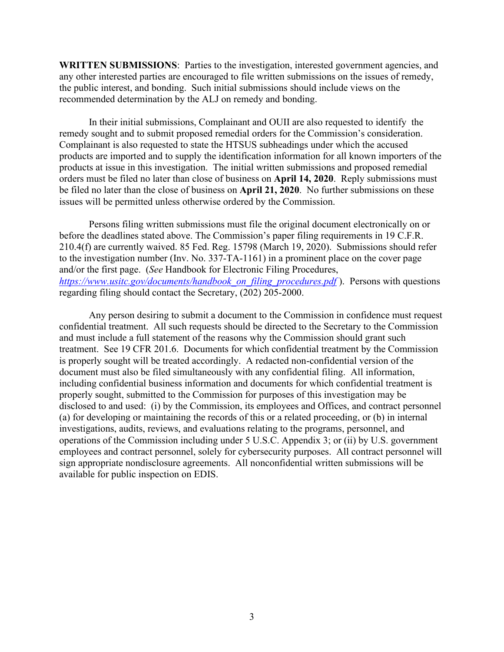**WRITTEN SUBMISSIONS**: Parties to the investigation, interested government agencies, and any other interested parties are encouraged to file written submissions on the issues of remedy, the public interest, and bonding. Such initial submissions should include views on the recommended determination by the ALJ on remedy and bonding.

In their initial submissions, Complainant and OUII are also requested to identify the remedy sought and to submit proposed remedial orders for the Commission's consideration. Complainant is also requested to state the HTSUS subheadings under which the accused products are imported and to supply the identification information for all known importers of the products at issue in this investigation. The initial written submissions and proposed remedial orders must be filed no later than close of business on **April 14, 2020**. Reply submissions must be filed no later than the close of business on **April 21, 2020**. No further submissions on these issues will be permitted unless otherwise ordered by the Commission.

Persons filing written submissions must file the original document electronically on or before the deadlines stated above. The Commission's paper filing requirements in 19 C.F.R. 210.4(f) are currently waived. 85 Fed. Reg. 15798 (March 19, 2020). Submissions should refer to the investigation number (Inv. No. 337-TA-1161) in a prominent place on the cover page and/or the first page. (*See* Handbook for Electronic Filing Procedures, *[https://www.usitc.gov/documents/handbook\\_on\\_filing\\_procedures.pdf](https://www.usitc.gov/documents/handbook_on_filing_procedures.pdf)* ). Persons with questions regarding filing should contact the Secretary, (202) 205-2000.

Any person desiring to submit a document to the Commission in confidence must request confidential treatment. All such requests should be directed to the Secretary to the Commission and must include a full statement of the reasons why the Commission should grant such treatment. See 19 CFR 201.6. Documents for which confidential treatment by the Commission is properly sought will be treated accordingly. A redacted non-confidential version of the document must also be filed simultaneously with any confidential filing. All information, including confidential business information and documents for which confidential treatment is properly sought, submitted to the Commission for purposes of this investigation may be disclosed to and used: (i) by the Commission, its employees and Offices, and contract personnel (a) for developing or maintaining the records of this or a related proceeding, or (b) in internal investigations, audits, reviews, and evaluations relating to the programs, personnel, and operations of the Commission including under 5 U.S.C. Appendix 3; or (ii) by U.S. government employees and contract personnel, solely for cybersecurity purposes. All contract personnel will sign appropriate nondisclosure agreements. All nonconfidential written submissions will be available for public inspection on EDIS.